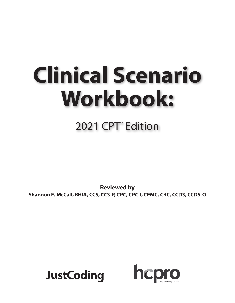# **Clinical Scenario Workbook:**

# 2021 CPT<sup>®</sup> Edition

**Reviewed by Shannon E. McCall, RHIA, CCS, CCS-P, CPC, CPC-I, CEMC, CRC, CCDS, CCDS-O**



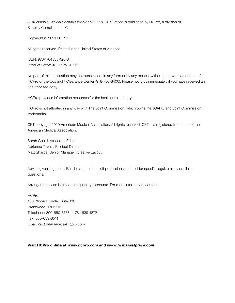*JustCoding's Clinical Scenario Workbook: 2021 CPT Edition* is published by HCPro, a division of Simplify Compliance LLC

Copyright © 2021 HCPro

All rights reserved. Printed in the United States of America.

ISBN: 978-1-64535-128-3 Product Code: JCOPCWKBK21

No part of this publication may be reproduced, in any form or by any means, without prior written consent of HCPro or the Copyright Clearance Center (978-750-8400). Please notify us immediately if you have received an unauthorized copy.

HCPro provides information resources for the healthcare industry.

HCPro is not affiliated in any way with The Joint Commission, which owns the JCAHO and Joint Commission trademarks.

CPT copyright 2020 American Medical Association. All rights reserved. CPT is a registered trademark of the American Medical Association.

Sarah Gould, Associate Editor Adrienne Trivers, Product Director Matt Sharpe, Senior Manager, Creative Layout

Advice given is general. Readers should consult professional counsel for specific legal, ethical, or clinical questions.

Arrangements can be made for quantity discounts. For more information, contact:

**HCPro** 100 Winners Circle, Suite 300 Brentwood, TN 37027 Telephone: 800-650-6787 or 781-639-1872 Fax: 800-639-8511 Email: *customerservice@hcpro.com*

#### Visit HCPro online at *www.hcpro.com* and *www.hcmarketplace.com*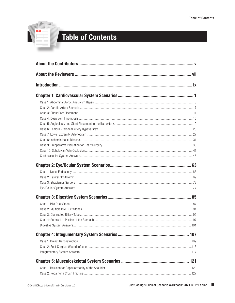

# **Table of Contents**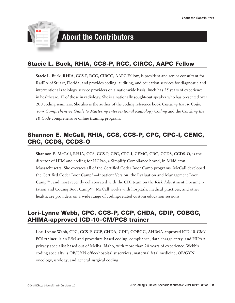

# About the Contributors

# Stacie L. Buck, RHIA, CCS-P, RCC, CIRCC, AAPC Fellow

**Stacie L. Buck, RHIA, CCS-P, RCC, CIRCC, AAPC Fellow,** is president and senior consultant for RadRx of Stuart, Florida, and provides coding, auditing, and education services for diagnostic and interventional radiology service providers on a nationwide basis. Buck has 25 years of experience in healthcare, 17 of those in radiology. She is a nationally sought-out speaker who has presented over 200 coding seminars. She also is the author of the coding reference book *Cracking the IR Code: Your Comprehensive Guide to Mastering Interventional Radiology Coding* and the *Cracking the IR Code* comprehensive online training program.

## Shannon E. McCall, RHIA, CCS, CCS-P, CPC, CPC-I, CEMC, CRC, CCDS, CCDS-O

**Shannon E. McCall, RHIA, CCS, CCS-P, CPC, CPC-I, CEMC, CRC, CCDS, CCDS-O,** is the director of HIM and coding for HCPro, a Simplify Compliance brand, in Middleton, Massachusetts. She oversees all of the Certified Coder Boot Camp programs. McCall developed the Certified Coder Boot Camp®—Inpatient Version, the Evaluation and Management Boot Camp™, and most recently collaborated with the CDI team on the Risk Adjustment Documentation and Coding Boot Camp™. McCall works with hospitals, medical practices, and other healthcare providers on a wide range of coding-related custom education sessions.

# Lori-Lynne Webb, CPC, CCS-P, CCP, CHDA, CDIP, COBGC, AHIMA-approved ICD-10-CM/PCS trainer

**Lori-Lynne Webb, CPC, CCS-P, CCP, CHDA, CDIP, COBGC, AHIMA-approved ICD-10-CM/ PCS trainer**, is an E/M and procedure-based coding, compliance, data charge entry, and HIPAA privacy specialist based out of Melba, Idaho, with more than 20 years of experience. Webb's coding specialty is OB/GYN office/hospitalist services, maternal fetal medicine, OB/GYN oncology, urology, and general surgical coding.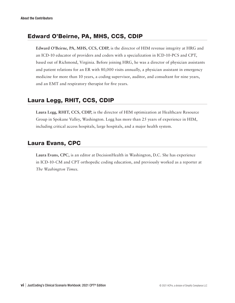# Edward O'Beirne, PA, MHS, CCS, CDIP

**Edward O'Beirne, PA, MHS, CCS, CDIP,** is the director of HIM revenue integrity at HRG and an ICD-10 educator of providers and coders with a specialization in ICD-10-PCS and CPT, based out of Richmond, Virginia. Before joining HRG, he was a director of physician assistants and patient relations for an ER with 80,000 visits annually, a physician assistant in emergency medicine for more than 10 years, a coding supervisor, auditor, and consultant for nine years, and an EMT and respiratory therapist for five years.

## Laura Legg, RHIT, CCS, CDIP

**Laura Legg, RHIT, CCS, CDIP,** is the director of HIM optimization at Healthcare Resource Group in Spokane Valley, Washington. Legg has more than 25 years of experience in HIM, including critical access hospitals, large hospitals, and a major health system.

## Laura Evans, CPC

**Laura Evans, CPC,** is an editor at DecisionHealth in Washington, D.C. She has experience in ICD-10-CM and CPT orthopedic coding education, and previously worked as a reporter at *The Washington Times*.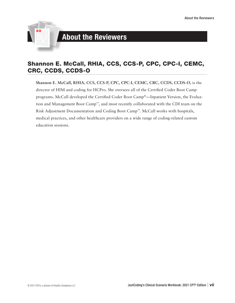

# About the Reviewers

## Shannon E. McCall, RHIA, CCS, CCS-P, CPC, CPC-I, CEMC, CRC, CCDS, CCDS-O

**Shannon E. McCall, RHIA, CCS, CCS-P, CPC, CPC-I, CEMC, CRC, CCDS, CCDS-O,** is the director of HIM and coding for HCPro. She oversees all of the Certified Coder Boot Camp programs. McCall developed the Certified Coder Boot Camp®—Inpatient Version, the Evaluation and Management Boot Camp™, and most recently collaborated with the CDI team on the Risk Adjustment Documentation and Coding Boot Camp™. McCall works with hospitals, medical practices, and other healthcare providers on a wide range of coding-related custom education sessions.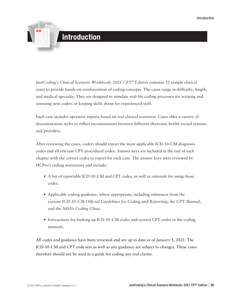

*JustCoding's Clinical Scenario Workbook: 2021 CPT® Edition* contains 52 sample clinical cases to provide hands-on reinforcement of coding concepts. The cases range in difficulty, length, and medical specialty. They are designed to simulate real-life coding processes for training and assessing new coders or keeping skills sharp for experienced staff.

Each case includes operative reports based on real clinical scenarios. Cases offer a variety of documentation styles to reflect inconsistencies between different electronic health record systems and providers.

After reviewing the cases, coders should report the most applicable ICD-10-CM diagnosis codes and all relevant CPT procedural codes. Answer keys are included at the end of each chapter with the correct codes to report for each case. The answer keys were reviewed by HCPro's coding instructors and include:

- A list of reportable ICD-10-CM and CPT codes, as well as rationale for using those codes.
- Applicable coding guidance, where appropriate, including references from the current *ICD-10-CM Official Guidelines for Coding and Reporting*, the *CPT Manual*, and the AHA's *Coding Clinic*.
- Instructions for looking up ICD-10-CM codes and certain CPT codes in the coding manuals.

All codes and guidance have been reviewed and are up to date as of January 1, 2021. The ICD-10-CM and CPT code sets as well as any guidance are subject to changes. These cases therefore should not be used as a guide for coding any real claims.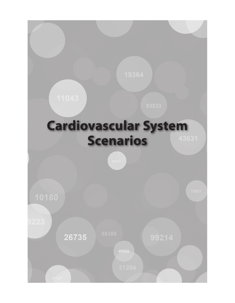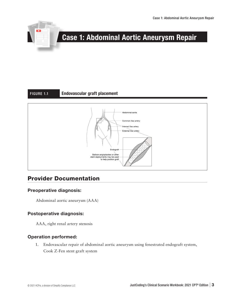

# Case 1: Abdominal Aortic Aneurysm Repair

#### FIGURE 1.1 Endovascular graft placement



## Provider Documentation

#### Preoperative diagnosis:

Abdominal aortic aneurysm (AAA)

#### Postoperative diagnosis:

AAA, right renal artery stenosis

#### Operation performed:

1. Endovascular repair of abdominal aortic aneurysm using fenestrated endograft system, Cook Z-Fen stent graft system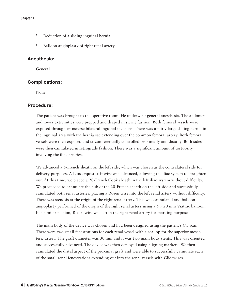#### Chapter 1

- 2. Reduction of a sliding inguinal hernia
- 3. Balloon angioplasty of right renal artery

#### Anesthesia:

General

#### Complications:

None

#### Procedure:

The patient was brought to the operative room. He underwent general anesthesia. The abdomen and lower extremities were prepped and draped in sterile fashion. Both femoral vessels were exposed through transverse bilateral inguinal incisions. There was a fairly large sliding hernia in the inguinal area with the hernia sac extending over the common femoral artery. Both femoral vessels were then exposed and circumferentially controlled proximally and distally. Both sides were then cannulated in retrograde fashion. There was a significant amount of tortuosity involving the iliac arteries.

We advanced a 6-French sheath on the left side, which was chosen as the contralateral side for delivery purposes. A Lunderquist stiff wire was advanced, allowing the iliac system to straighten out. At this time, we placed a 20-French Cook sheath in the left iliac system without difficulty. We proceeded to cannulate the hub of the 20-French sheath on the left side and successfully cannulated both renal arteries, placing a Rosen wire into the left renal artery without difficulty. There was stenosis at the origin of the right renal artery. This was cannulated and balloon angioplasty performed of the origin of the right renal artery using a  $5 \times 20$  mm Viatrac balloon. In a similar fashion, Rosen wire was left in the right renal artery for marking purposes.

The main body of the device was chosen and had been designed using the patient's CT scan. There were two small fenestrations for each renal vessel with a scallop for the superior mesenteric artery. The graft diameter was 30 mm and it was two main body stents. This was oriented and successfully advanced. The device was then deployed using aligning markers. We then cannulated the distal aspect of the proximal graft and were able to successfully cannulate each of the small renal fenestrations extending out into the renal vessels with Glidewires.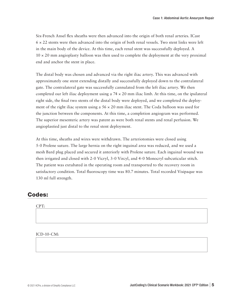Six-French Ansel flex sheaths were then advanced into the origin of both renal arteries. ICast  $6 \times 22$  stents were then advanced into the origin of both renal vessels. Two stent links were left in the main body of the device. At this time, each renal stent was successfully deployed. A  $10 \times 20$  mm angioplasty balloon was then used to complete the deployment at the very proximal end and anchor the stent in place.

The distal body was chosen and advanced via the right iliac artery. This was advanced with approximately one stent extending distally and successfully deployed down to the contralateral gate. The contralateral gate was successfully cannulated from the left iliac artery. We then completed our left iliac deployment using a  $74 \times 20$  mm iliac limb. At this time, on the ipsilateral right side, the final two stents of the distal body were deployed, and we completed the deployment of the right iliac system using a  $56 \times 20$  mm iliac stent. The Coda balloon was used for the junction between the components. At this time, a completion angiogram was performed. The superior mesenteric artery was patent as were both renal stents and renal perfusion. We angioplastied just distal to the renal stent deployment.

At this time, sheaths and wires were withdrawn. The arteriotomies were closed using 5-0 Prolene suture. The large hernia on the right inguinal area was reduced, and we used a mesh Bard plug placed and secured it anteriorly with Prolene suture. Each inguinal wound was then irrigated and closed with 2-0 Vicryl, 3-0 Vircyl, and 4-0 Monocryl subcuticular stitch. The patient was extubated in the operating room and transported to the recovery room in satisfactory condition. Total fluoroscopy time was 80.7 minutes. Total recorded Visipaque was 130 ml full strength.

### Codes:

#### CPT:

#### ICD-10-CM: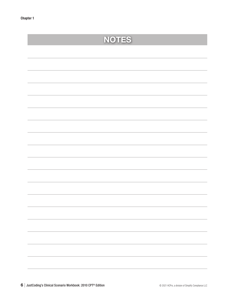|                                                                                                                      | <b>NOTES</b> |
|----------------------------------------------------------------------------------------------------------------------|--------------|
|                                                                                                                      |              |
|                                                                                                                      |              |
|                                                                                                                      |              |
|                                                                                                                      |              |
|                                                                                                                      |              |
|                                                                                                                      |              |
|                                                                                                                      |              |
|                                                                                                                      |              |
|                                                                                                                      |              |
|                                                                                                                      |              |
|                                                                                                                      |              |
|                                                                                                                      |              |
|                                                                                                                      |              |
|                                                                                                                      |              |
|                                                                                                                      |              |
|                                                                                                                      |              |
|                                                                                                                      |              |
| <u> Andreas Andreas Andreas Andreas Andreas Andreas Andreas Andreas Andreas Andreas Andreas Andreas Andreas Andr</u> |              |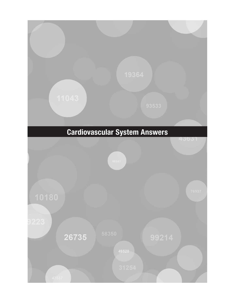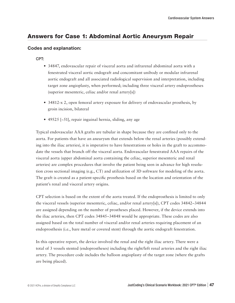# Answers for Case 1: Abdominal Aortic Aneurysm Repair

#### Codes and explanation:

#### CPT:

- 34847, endovascular repair of visceral aorta and infrarenal abdominal aorta with a fenestrated visceral aortic endograft and concomitant unibody or modular infrarenal aortic endograft and all associated radiological supervision and interpretation, including target zone angioplasty, when performed; including three visceral artery endoprostheses (superior mesenteric, celiac and/or renal artery[s])
- 34812-x 2, open femoral artery exposure for delivery of endovascular prosthesis, by groin incision, bilateral
- 49525 [−51], repair inguinal hernia, sliding, any age

Typical endovascular AAA grafts are tubular in shape because they are confined only to the aorta. For patients that have an aneurysm that extends below the renal arteries (possibly extending into the iliac arteries), it is imperative to have fenestrations or holes in the graft to accommodate the vessels that branch off the visceral aorta. Endovascular fenestrated AAA repairs of the visceral aorta (upper abdominal aorta containing the celiac, superior mesenteric and renal arteries) are complex procedures that involve the patient being seen in advance for high resolution cross sectional imaging (e.g., CT) and utilization of 3D software for modeling of the aorta. The graft is created as a patient-specific prosthesis based on the location and orientation of the patient's renal and visceral artery origins.

CPT selection is based on the extent of the aorta treated. If the endoprosthesis is limited to only the visceral vessels (superior mesenteric, celiac, and/or renal artery[s]), CPT codes 34842–34844 are assigned depending on the number of prostheses placed. However, if the device extends into the iliac arteries, then CPT codes 34845–34848 would be appropriate. These codes are also assigned based on the total number of visceral and/or renal arteries requiring placement of an endoprosthesis (i.e., bare metal or covered stent) through the aortic endograft fenestration.

In this operative report, the device involved the renal and the right iliac artery. There were a total of 3 vessels stented (endoprostheses) including the right/left renal arteries and the right iliac artery. The procedure code includes the balloon angioplasty of the target zone (where the grafts are being placed).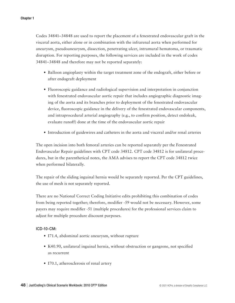Codes 34841–34848 are used to report the placement of a fenestrated endovascular graft in the visceral aorta, either alone or in combination with the infrarenal aorta when performed for aneurysm, pseudoaneurysm, dissection, penetrating ulcer, intramural hematoma, or traumatic disruption. For reporting purposes, the following services are included in the work of codes 34841–34848 and therefore may not be reported separately:

- Balloon angioplasty within the target treatment zone of the endograft, either before or after endograft deployment
- Fluoroscopic guidance and radiological supervision and interpretation in conjunction with fenestrated endovascular aortic repair that includes angiographic diagnostic imaging of the aorta and its branches prior to deployment of the fenestrated endovascular device, fluoroscopic guidance in the delivery of the fenestrated endovascular components, and intraprocedural arterial angiography (e.g., to confirm position, detect endoleak, evaluate runoff) done at the time of the endovascular aortic repair
- Introduction of guidewires and catheters in the aorta and visceral and/or renal arteries

The open incision into both femoral arteries can be reported separately per the Fenestrated Endovascular Repair guidelines with CPT code 34812. CPT code 34812 is for unilateral procedures, but in the parenthetical notes, the AMA advises to report the CPT code 34812 twice when performed bilaterally.

The repair of the sliding inguinal hernia would be separately reported. Per the CPT guidelines, the use of mesh is not separately reported.

There are no National Correct Coding Initiative edits prohibiting this combination of codes from being reported together; therefore, modifier -59 would not be necessary. However, some payers may require modifier -51 (multiple procedures) for the professional services claim to adjust for multiple procedure discount purposes.

#### ICD-10-CM:

- I71.4, abdominal aortic aneurysm, without rupture
- K40.90, unilateral inguinal hernia, without obstruction or gangrene, not specified as recurrent
- I70.1, atherosclerosis of renal artery